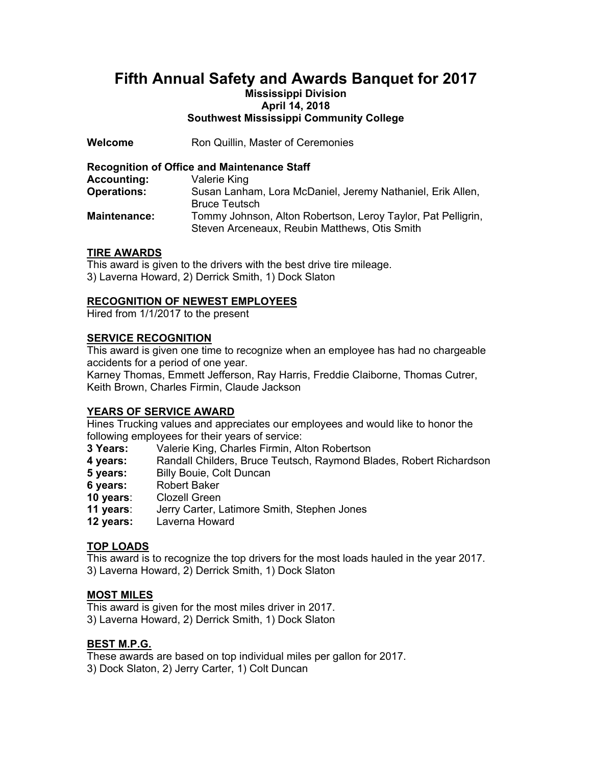# **Fifth Annual Safety and Awards Banquet for 2017**

# **Mississippi Division April 14, 2018 Southwest Mississippi Community College**

**Welcome Ron Quillin, Master of Ceremonies** 

# **Recognition of Office and Maintenance Staff**

| <b>Accounting:</b>  | Valerie King                                                 |
|---------------------|--------------------------------------------------------------|
| <b>Operations:</b>  | Susan Lanham, Lora McDaniel, Jeremy Nathaniel, Erik Allen,   |
|                     | <b>Bruce Teutsch</b>                                         |
| <b>Maintenance:</b> | Tommy Johnson, Alton Robertson, Leroy Taylor, Pat Pelligrin, |
|                     | Steven Arceneaux, Reubin Matthews, Otis Smith                |

# **TIRE AWARDS**

This award is given to the drivers with the best drive tire mileage. 3) Laverna Howard, 2) Derrick Smith, 1) Dock Slaton

# **RECOGNITION OF NEWEST EMPLOYEES**

Hired from 1/1/2017 to the present

# **SERVICE RECOGNITION**

This award is given one time to recognize when an employee has had no chargeable accidents for a period of one year.

Karney Thomas, Emmett Jefferson, Ray Harris, Freddie Claiborne, Thomas Cutrer, Keith Brown, Charles Firmin, Claude Jackson

# **YEARS OF SERVICE AWARD**

Hines Trucking values and appreciates our employees and would like to honor the following employees for their years of service:

- **3 Years:** Valerie King, Charles Firmin, Alton Robertson
- **4 years:** Randall Childers, Bruce Teutsch, Raymond Blades, Robert Richardson
- **5 years:** Billy Bouie, Colt Duncan<br>**6 years:** Robert Baker
- **6 years:** Robert Baker
- **10 years**: Clozell Green
- **11 years**: Jerry Carter, Latimore Smith, Stephen Jones
- **12 years:** Laverna Howard

# **TOP LOADS**

This award is to recognize the top drivers for the most loads hauled in the year 2017. 3) Laverna Howard, 2) Derrick Smith, 1) Dock Slaton

#### **MOST MILES**

This award is given for the most miles driver in 2017. 3) Laverna Howard, 2) Derrick Smith, 1) Dock Slaton

#### **BEST M.P.G.**

These awards are based on top individual miles per gallon for 2017.

3) Dock Slaton, 2) Jerry Carter, 1) Colt Duncan